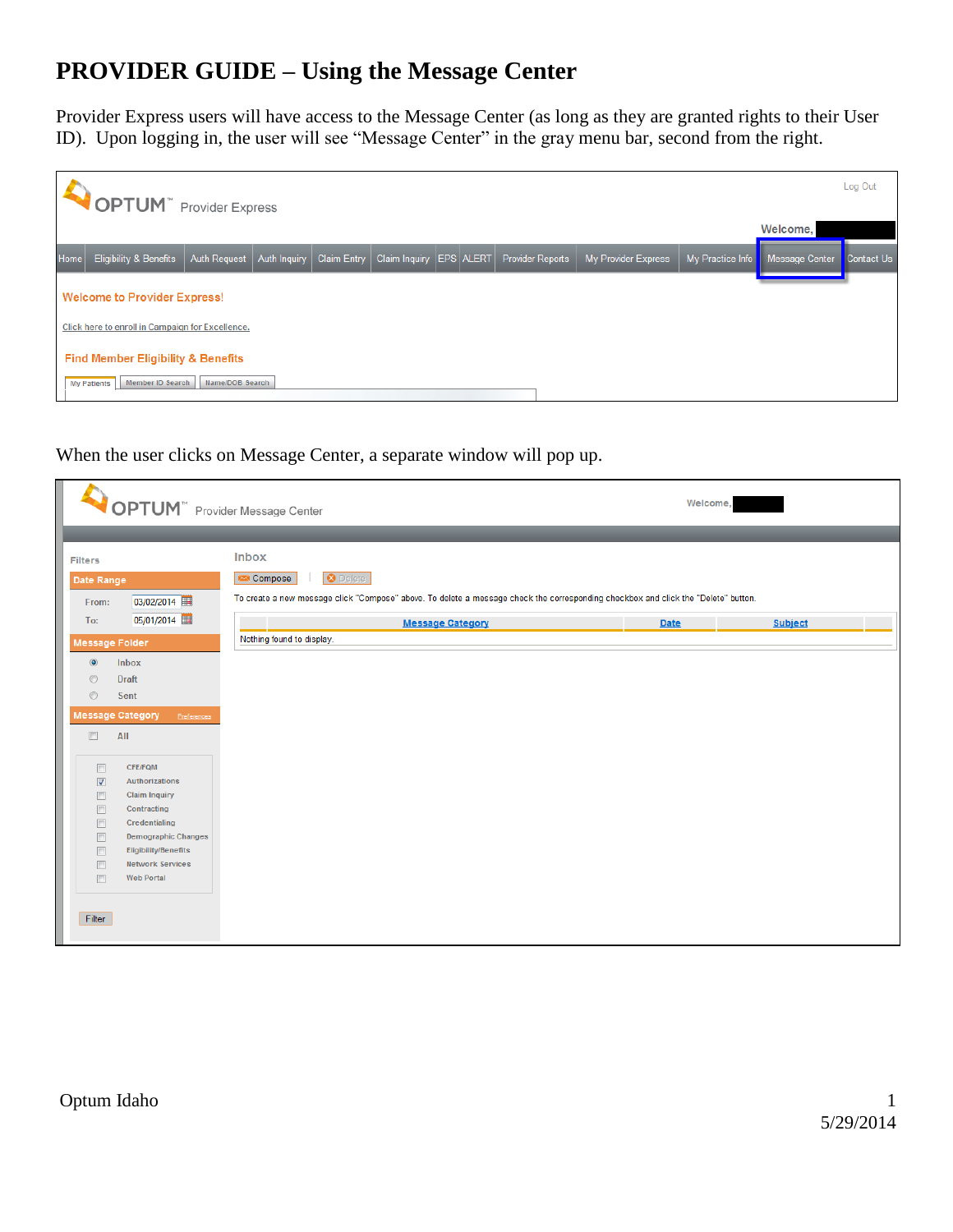# **PROVIDER GUIDE – Using the Message Center**

Provider Express users will have access to the Message Center (as long as they are granted rights to their User ID). Upon logging in, the user will see "Message Center" in the gray menu bar, second from the right.

|             | <b>OPTUM</b> <sup>"</sup> Provider Express       |                     |              |             |                             |  |  |                         |                     |                  | Welcome,                  | Log Out |
|-------------|--------------------------------------------------|---------------------|--------------|-------------|-----------------------------|--|--|-------------------------|---------------------|------------------|---------------------------|---------|
| <b>Home</b> | <b>Eligibility &amp; Benefits</b>                | <b>Auth Request</b> | Auth Inquiry | Claim Entry | Claim Inquiry   EPS   ALERT |  |  | <b>Provider Reports</b> | My Provider Express | My Practice Info | Message Center Contact Us |         |
|             | <b>Welcome to Provider Express!</b>              |                     |              |             |                             |  |  |                         |                     |                  |                           |         |
|             | Click here to enroll in Campaign for Excellence. |                     |              |             |                             |  |  |                         |                     |                  |                           |         |
|             | <b>Find Member Eligibility &amp; Benefits</b>    |                     |              |             |                             |  |  |                         |                     |                  |                           |         |
|             | Member ID Search<br><b>My Patients</b>           | Name/DOB Search     |              |             |                             |  |  |                         |                     |                  |                           |         |

# When the user clicks on Message Center, a separate window will pop up.

| <b>OPTUM</b> Provider Message Center                                                                                                              |                                                                                                                                                                                  | Welcome, |                |
|---------------------------------------------------------------------------------------------------------------------------------------------------|----------------------------------------------------------------------------------------------------------------------------------------------------------------------------------|----------|----------------|
| <b>Filters</b><br>Date Range<br>03/02/2014<br>From:                                                                                               | <b>Inbox</b><br><b>8</b> Delete<br>Compose<br>To create a new message click "Compose" above. To delete a message check the corresponding checkbox and click the "Delete" button. |          |                |
| 05/01/2014<br>To:<br><b>Message Folder</b><br>$\circledcirc$<br>Inbox                                                                             | <b>Message Category</b><br>Nothing found to display.                                                                                                                             | Date     | <b>Subject</b> |
| $\circledcirc$<br><b>Draft</b><br>$\circledcirc$<br>Sent<br><b>Message Category</b><br>Preferences                                                |                                                                                                                                                                                  |          |                |
| $\Box$<br>All<br><b>CFE/FQM</b><br>$\Box$                                                                                                         |                                                                                                                                                                                  |          |                |
| $\overline{\mathbf{v}}$<br>Authorizations<br>$\Box$<br><b>Claim Inquiry</b><br>$\Box$<br>Contracting<br>$\Box$<br>Credentialing                   |                                                                                                                                                                                  |          |                |
| $\Box$<br><b>Demographic Changes</b><br>$\Box$<br><b>Eligibility/Benefits</b><br>$\Box$<br><b>Network Services</b><br>$\Box$<br><b>Web Portal</b> |                                                                                                                                                                                  |          |                |
| Filter                                                                                                                                            |                                                                                                                                                                                  |          |                |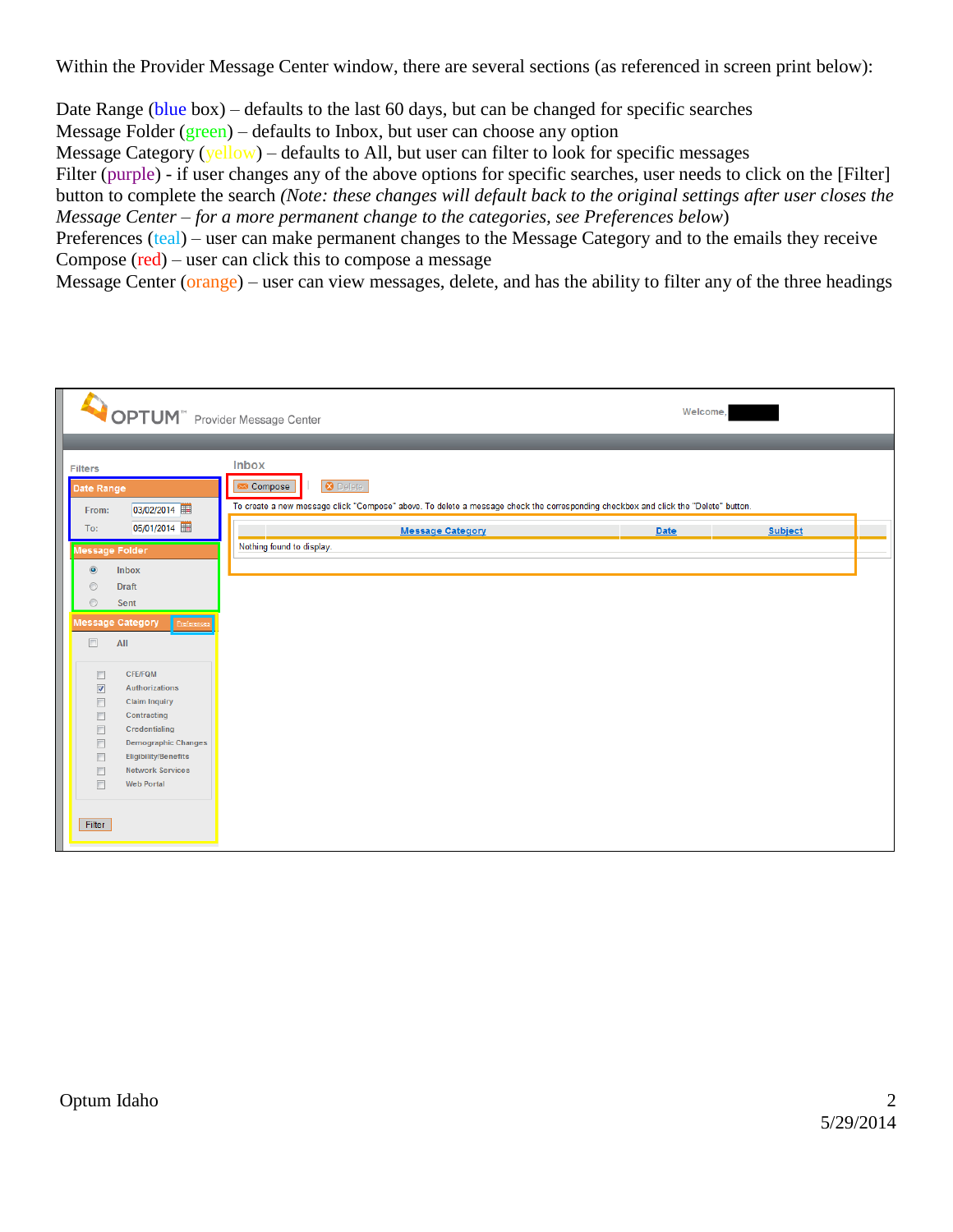Within the Provider Message Center window, there are several sections (as referenced in screen print below):

Date Range (blue box) – defaults to the last 60 days, but can be changed for specific searches

Message Folder (green) – defaults to Inbox, but user can choose any option

Message Category (yellow) – defaults to All, but user can filter to look for specific messages

Filter (purple) - if user changes any of the above options for specific searches, user needs to click on the [Filter] button to complete the search *(Note: these changes will default back to the original settings after user closes the Message Center – for a more permanent change to the categories, see Preferences below*)

Preferences (teal) – user can make permanent changes to the Message Category and to the emails they receive Compose (red) – user can click this to compose a message

Message Center (orange) – user can view messages, delete, and has the ability to filter any of the three headings

| OPTUM" Provider Message Center                                                                                                                                                                                                                                                                                                                                                                  |                                                                                                                                                                                                                                          | Welcome, |                |
|-------------------------------------------------------------------------------------------------------------------------------------------------------------------------------------------------------------------------------------------------------------------------------------------------------------------------------------------------------------------------------------------------|------------------------------------------------------------------------------------------------------------------------------------------------------------------------------------------------------------------------------------------|----------|----------------|
| <b>Filters</b><br>Date Range<br>03/02/2014<br>From:<br>05/01/2014<br>To:<br>Message Folder<br>$\circledcirc$<br>Inbox<br>$\odot$<br><b>Draft</b><br>$\circledcirc$<br>Sent                                                                                                                                                                                                                      | <b>Inbox</b><br><b>8</b> Delete<br>Compose<br>To create a new message click "Compose" above. To delete a message check the corresponding checkbox and click the "Delete" button.<br><b>Message Category</b><br>Nothing found to display. | Date     | <b>Subject</b> |
| <b>Message Category</b><br>$\Box$<br>All<br><b>CFE/FQM</b><br>$\Box$<br>$\overline{\mathbf{v}}$<br>Authorizations<br>$\Box$<br><b>Claim Inquiry</b><br>$\Box$<br>Contracting<br>$\blacksquare$<br>Credentialing<br>$\Box$<br><b>Demographic Changes</b><br>$\Box$<br><b>Eligibility/Benefits</b><br>$\Box$<br><b>Network Services</b><br>$\overline{\mathbb{F}}$<br><b>Web Portal</b><br>Filter |                                                                                                                                                                                                                                          |          |                |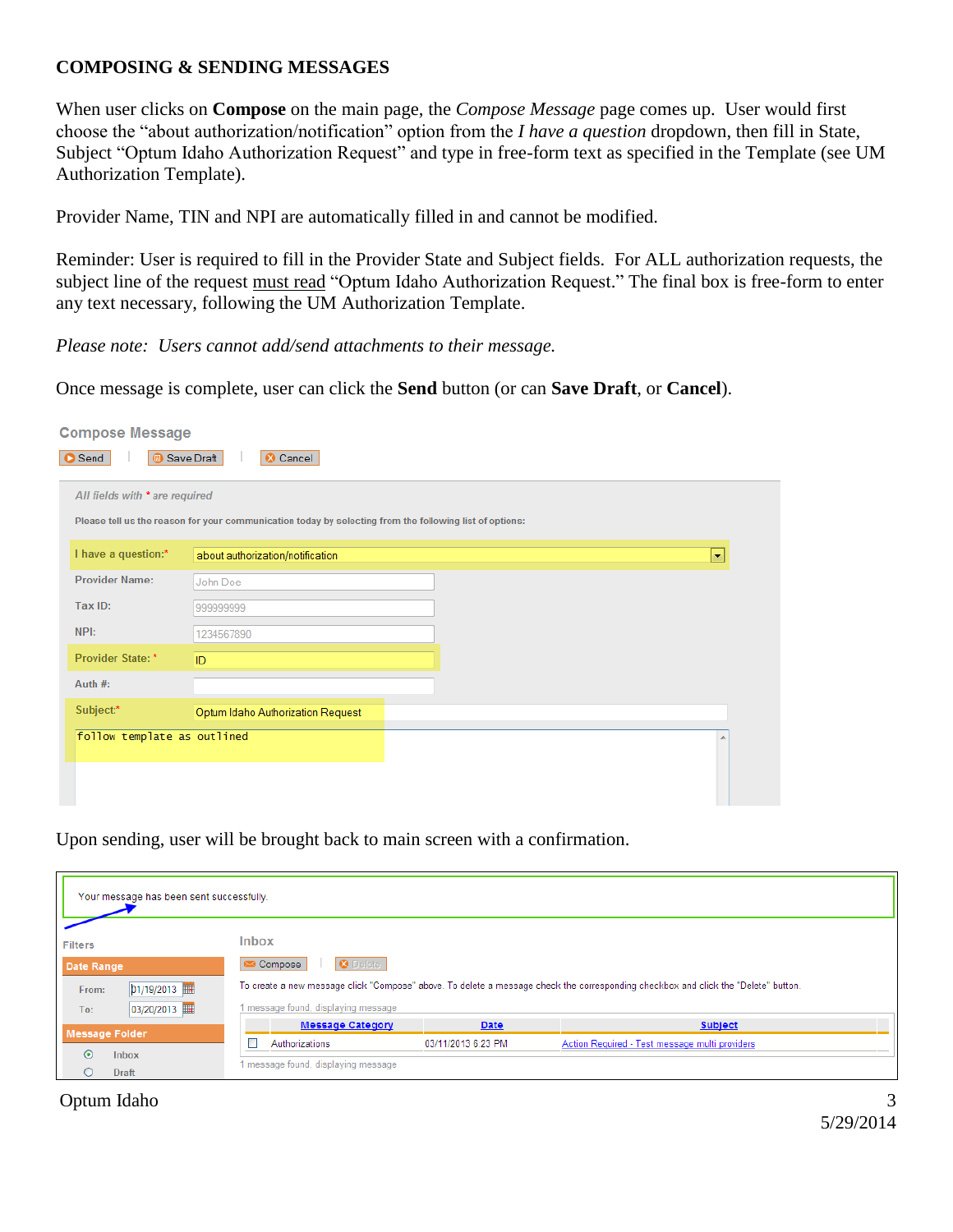### **COMPOSING & SENDING MESSAGES**

When user clicks on **Compose** on the main page, the *Compose Message* page comes up. User would first choose the "about authorization/notification" option from the *I have a question* dropdown, then fill in State, Subject "Optum Idaho Authorization Request" and type in free-form text as specified in the Template (see UM Authorization Template).

Provider Name, TIN and NPI are automatically filled in and cannot be modified.

Reminder: User is required to fill in the Provider State and Subject fields. For ALL authorization requests, the subject line of the request must read "Optum Idaho Authorization Request." The final box is free-form to enter any text necessary, following the UM Authorization Template.

*Please note: Users cannot add/send attachments to their message.*

Once message is complete, user can click the **Send** button (or can **Save Draft**, or **Cancel**).

| <b>Compose Message</b><br>Send | <b>B</b> Save Draft<br>Cancel                                                                                                             |                          |  |  |  |  |
|--------------------------------|-------------------------------------------------------------------------------------------------------------------------------------------|--------------------------|--|--|--|--|
|                                | All fields with * are required<br>Please tell us the reason for your communication today by selecting from the following list of options: |                          |  |  |  |  |
| I have a question:*            | about authorization/notification                                                                                                          | $\overline{\phantom{a}}$ |  |  |  |  |
| <b>Provider Name:</b>          | John Doe                                                                                                                                  |                          |  |  |  |  |
| Tax ID:                        | 99999999                                                                                                                                  |                          |  |  |  |  |
| NPI:                           | 1234567890                                                                                                                                |                          |  |  |  |  |
| Provider State: *              | ID                                                                                                                                        |                          |  |  |  |  |
| Auth $#$ :                     |                                                                                                                                           |                          |  |  |  |  |
| Subject:*                      | Optum Idaho Authorization Request                                                                                                         |                          |  |  |  |  |
| follow template as outlined    |                                                                                                                                           |                          |  |  |  |  |

Upon sending, user will be brought back to main screen with a confirmation.

| Your message has been sent successfully. |                                     |                    |                                                                                                                                    |
|------------------------------------------|-------------------------------------|--------------------|------------------------------------------------------------------------------------------------------------------------------------|
| <b>Filters</b>                           | <b>Inbox</b>                        |                    |                                                                                                                                    |
| Date Range                               | <b>8</b> Delete<br>Compose          |                    |                                                                                                                                    |
| 01/19/2013 <br>From:                     |                                     |                    | To create a new message click "Compose" above. To delete a message check the corresponding checkbox and click the "Delete" button. |
| 03/20/2013   <br>To:                     | 1 message found, displaying message |                    |                                                                                                                                    |
| <b>Message Folder</b>                    | <b>Message Category</b>             | Date               | <b>Subject</b>                                                                                                                     |
|                                          | Authorizations                      | 03/11/2013 6:23 PM | Action Required - Test message multi providers                                                                                     |
| $\odot$<br>Inbox<br><b>Draft</b>         | 1 message found, displaying message |                    |                                                                                                                                    |

#### Optum Idaho 3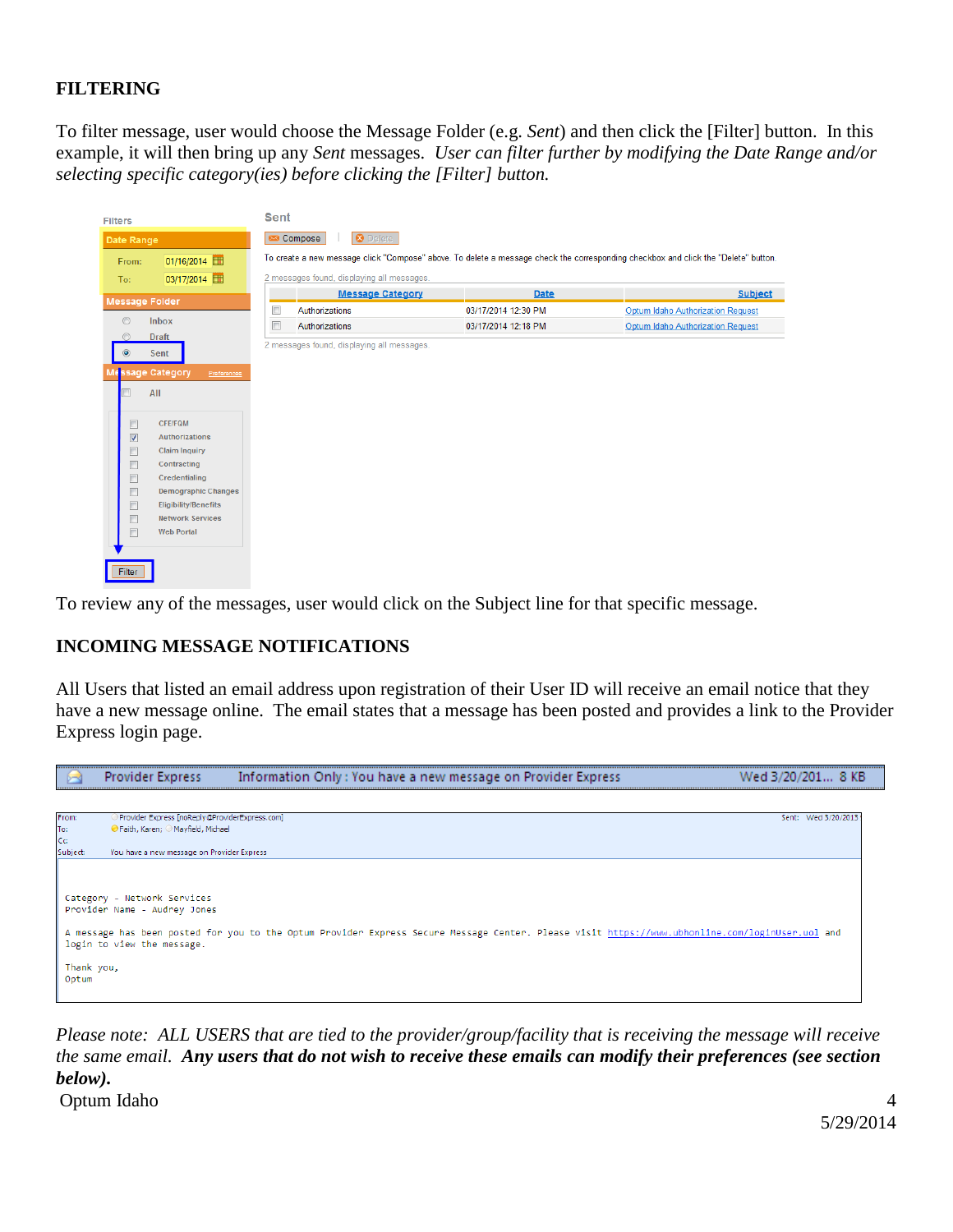## **FILTERING**

To filter message, user would choose the Message Folder (e.g. *Sent*) and then click the [Filter] button. In this example, it will then bring up any *Sent* messages. *User can filter further by modifying the Date Range and/or selecting specific category(ies) before clicking the [Filter] button.*

| <b>Filters</b>          |                                 | <b>Sent</b> |                                            |                     |                                                                                                                                    |
|-------------------------|---------------------------------|-------------|--------------------------------------------|---------------------|------------------------------------------------------------------------------------------------------------------------------------|
| Date Range              |                                 |             | <b>O</b> Delete<br>Compose                 |                     |                                                                                                                                    |
| From:                   | 01/16/2014                      |             |                                            |                     | To create a new message click "Compose" above. To delete a message check the corresponding checkbox and click the "Delete" button. |
| To:                     | 03/17/2014                      |             | 2 messages found, displaying all messages. |                     |                                                                                                                                    |
|                         | <b>Message Folder</b>           |             | <b>Message Category</b>                    | <b>Date</b>         | <b>Subject</b>                                                                                                                     |
|                         |                                 | $\Box$      | Authorizations                             | 03/17/2014 12:30 PM | Optum Idaho Authorization Request                                                                                                  |
| $\odot$                 | Inbox                           | $\Box$      | Authorizations                             | 03/17/2014 12:18 PM | Optum Idaho Authorization Request                                                                                                  |
|                         | <b>Draft</b>                    |             | 2 messages found, displaying all messages. |                     |                                                                                                                                    |
|                         | Sent                            |             |                                            |                     |                                                                                                                                    |
|                         | Message Category<br>Preferences |             |                                            |                     |                                                                                                                                    |
|                         | All                             |             |                                            |                     |                                                                                                                                    |
|                         |                                 |             |                                            |                     |                                                                                                                                    |
| $\Box$                  | <b>CFE/FQM</b>                  |             |                                            |                     |                                                                                                                                    |
| $\overline{\mathsf{v}}$ | <b>Authorizations</b>           |             |                                            |                     |                                                                                                                                    |
| $\Box$                  | <b>Claim Inquiry</b>            |             |                                            |                     |                                                                                                                                    |
| $\Box$                  | Contracting                     |             |                                            |                     |                                                                                                                                    |
| $\boxed{1}$             | Credentialing                   |             |                                            |                     |                                                                                                                                    |
| $\boxed{\Box}$          | <b>Demographic Changes</b>      |             |                                            |                     |                                                                                                                                    |
| $\Box$                  | <b>Eligibility/Benefits</b>     |             |                                            |                     |                                                                                                                                    |
| $\Box$                  | <b>Network Services</b>         |             |                                            |                     |                                                                                                                                    |
| $\boxed{\Box}$          | <b>Web Portal</b>               |             |                                            |                     |                                                                                                                                    |
|                         |                                 |             |                                            |                     |                                                                                                                                    |
| Filter                  |                                 |             |                                            |                     |                                                                                                                                    |
|                         |                                 |             |                                            |                     |                                                                                                                                    |

To review any of the messages, user would click on the Subject line for that specific message.

# **INCOMING MESSAGE NOTIFICATIONS**

All Users that listed an email address upon registration of their User ID will receive an email notice that they have a new message online. The email states that a message has been posted and provides a link to the Provider Express login page.



Optum Idaho 4 *Please note: ALL USERS that are tied to the provider/group/facility that is receiving the message will receive the same email. Any users that do not wish to receive these emails can modify their preferences (see section below).*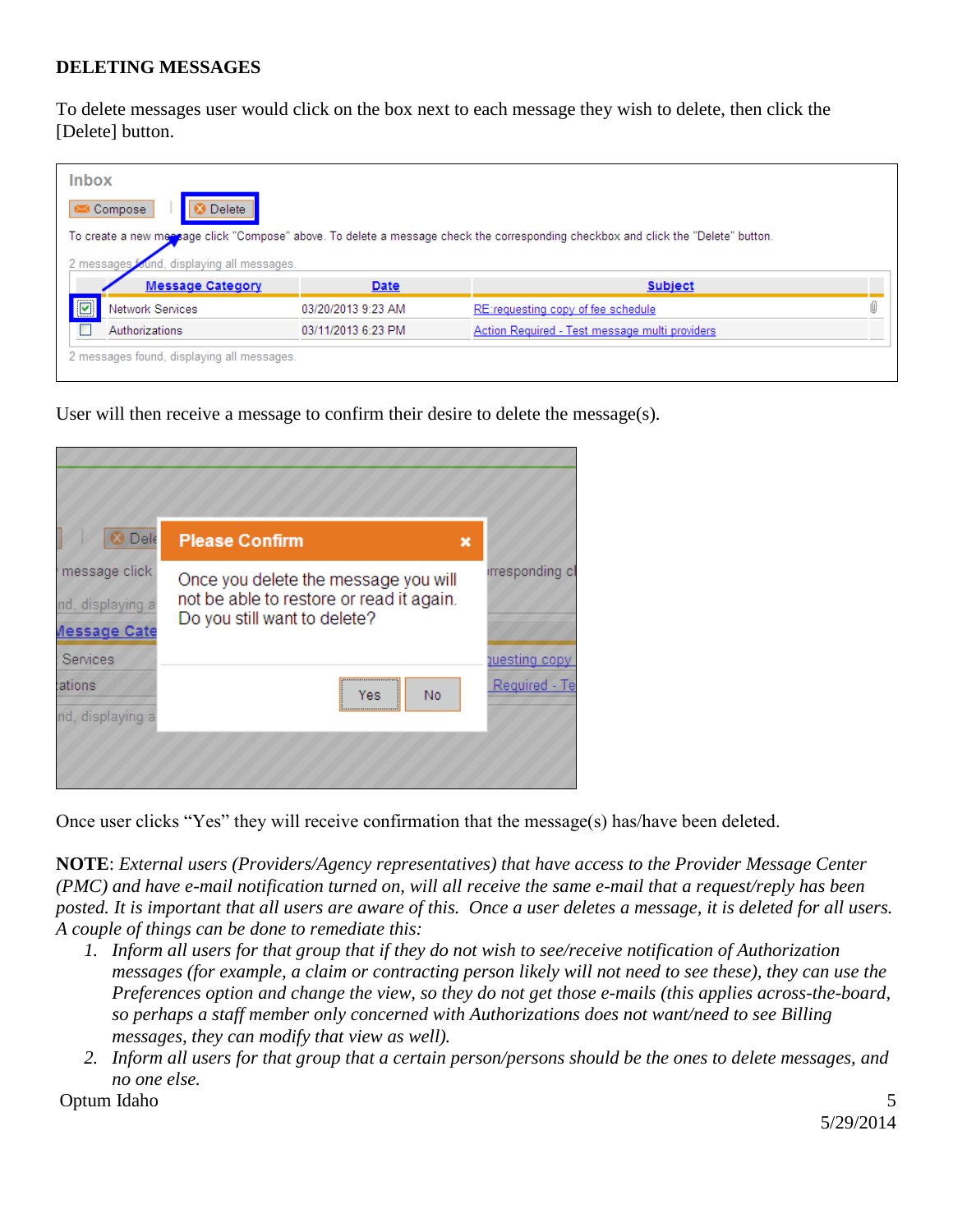#### **DELETING MESSAGES**

To delete messages user would click on the box next to each message they wish to delete, then click the [Delete] button.

|                    | <b>Inbox</b>                  |                    |                                                                                                                                    |  |
|--------------------|-------------------------------|--------------------|------------------------------------------------------------------------------------------------------------------------------------|--|
|                    | <b>Delete</b><br>Compose      |                    |                                                                                                                                    |  |
|                    |                               |                    | To create a new meesage click "Compose" above. To delete a message check the corresponding checkbox and click the "Delete" button. |  |
| 2 messages         | und, displaying all messages. |                    |                                                                                                                                    |  |
|                    |                               |                    |                                                                                                                                    |  |
|                    | <b>Message Category</b>       | Date               | <b>Subject</b>                                                                                                                     |  |
| $\boxed{\text{c}}$ | Network Services              | 03/20/2013 9:23 AM | REtrequesting copy of fee schedule                                                                                                 |  |
|                    | Authorizations                | 03/11/2013 6:23 PM | Action Required - Test message multi providers                                                                                     |  |

User will then receive a message to confirm their desire to delete the message(s).

| Dele                                                                   | <b>Please Confirm</b><br>$\boldsymbol{\mathsf{x}}$                                                               |                                |
|------------------------------------------------------------------------|------------------------------------------------------------------------------------------------------------------|--------------------------------|
| message click<br>nd, displaying a<br><b><i><u>Aessage Cate</u></i></b> | Once you delete the message you will<br>not be able to restore or read it again.<br>Do you still want to delete? | irresponding c                 |
| Services<br>ations<br>nd, displaying a                                 | No<br>Yes                                                                                                        | questing copy<br>Required - Te |

Once user clicks "Yes" they will receive confirmation that the message(s) has/have been deleted.

**NOTE**: *External users (Providers/Agency representatives) that have access to the Provider Message Center (PMC) and have e-mail notification turned on, will all receive the same e-mail that a request/reply has been posted. It is important that all users are aware of this. Once a user deletes a message, it is deleted for all users. A couple of things can be done to remediate this:*

- *1. Inform all users for that group that if they do not wish to see/receive notification of Authorization messages (for example, a claim or contracting person likely will not need to see these), they can use the Preferences option and change the view, so they do not get those e-mails (this applies across-the-board, so perhaps a staff member only concerned with Authorizations does not want/need to see Billing messages, they can modify that view as well).*
- *2. Inform all users for that group that a certain person/persons should be the ones to delete messages, and no one else.*

Optum Idaho 5